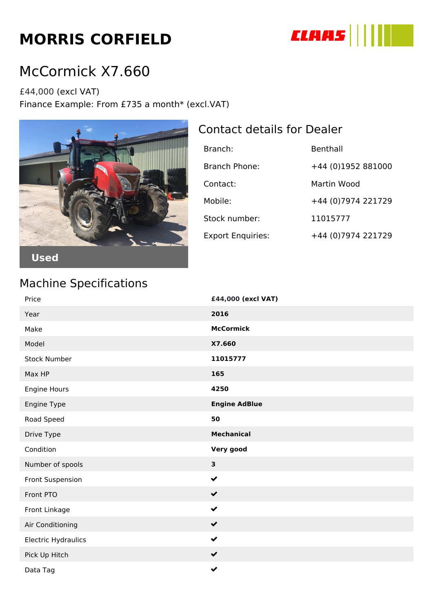# **MORRIS CORFIELD**



## McCormick X7.660

£44,000 (excl VAT) Finance Example: From £735 a month\* (excl.VAT)



#### Contact details for Dealer

| Branch:                  | Benthall            |
|--------------------------|---------------------|
| Branch Phone:            | +44 (0)1952 881000  |
| Contact:                 | Martin Wood         |
| Mobile:                  | +44 (0) 7974 221729 |
| Stock number:            | 11015777            |
| <b>Export Enquiries:</b> | +44 (0) 7974 221729 |

#### Machine Specifications

| Price               | £44,000 (excl VAT)   |
|---------------------|----------------------|
| Year                | 2016                 |
| Make                | <b>McCormick</b>     |
| Model               | X7.660               |
| <b>Stock Number</b> | 11015777             |
| Max HP              | 165                  |
| Engine Hours        | 4250                 |
| Engine Type         | <b>Engine AdBlue</b> |
| Road Speed          | 50                   |
| Drive Type          | <b>Mechanical</b>    |
| Condition           | Very good            |
| Number of spools    | $\mathbf{3}$         |
| Front Suspension    | $\checkmark$         |
| Front PTO           | $\checkmark$         |
| Front Linkage       | $\checkmark$         |
| Air Conditioning    | $\checkmark$         |
| Electric Hydraulics | $\checkmark$         |
| Pick Up Hitch       | $\checkmark$         |
| Data Tag            | $\checkmark$         |